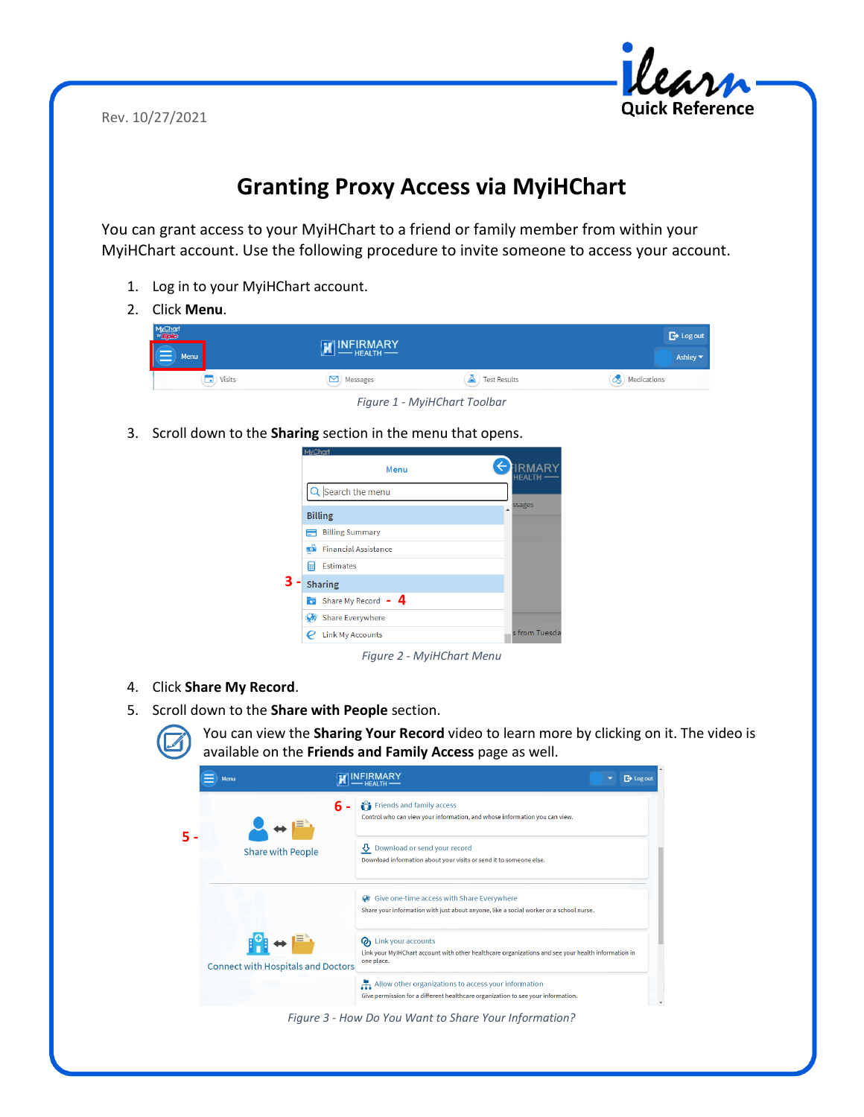Rev. 10/27/2021



## **Granting Proxy Access via MyiHChart**

You can grant access to your MyiHChart to a friend or family member from within your MyiHChart account. Use the following procedure to invite someone to access your account.

- 1. Log in to your MyiHChart account.
- 2. Click **Menu**.



*Figure 1 - MyiHChart Toolbar*

3. Scroll down to the **Sharing** section in the menu that opens.





- 4. Click **Share My Record**.
- 5. Scroll down to the **Share with People** section.



You can view the **Sharing Your Record** video to learn more by clicking on it. The video is available on the **Friends and Family Access** page as well.

| Menu |                                           |                                                                                                                                              | $\rightarrow$ Log out |
|------|-------------------------------------------|----------------------------------------------------------------------------------------------------------------------------------------------|-----------------------|
|      | 6                                         | Friends and family access<br>Control who can view your information, and whose information you can view.                                      |                       |
|      | <b>Share with People</b>                  | Download or send your record<br>Download information about your visits or send it to someone else.                                           |                       |
|      |                                           | Give one-time access with Share Everywhere<br>œ<br>Share your information with just about anyone, like a social worker or a school nurse.    |                       |
|      | <b>Connect with Hospitals and Doctors</b> | Link your accounts<br>Ø١<br>Link your MyIHChart account with other healthcare organizations and see your health information in<br>one place. |                       |
|      |                                           | Allow other organizations to access your information<br>Give permission for a different healthcare organization to see your information.     |                       |

*Figure 3 - How Do You Want to Share Your Information?*